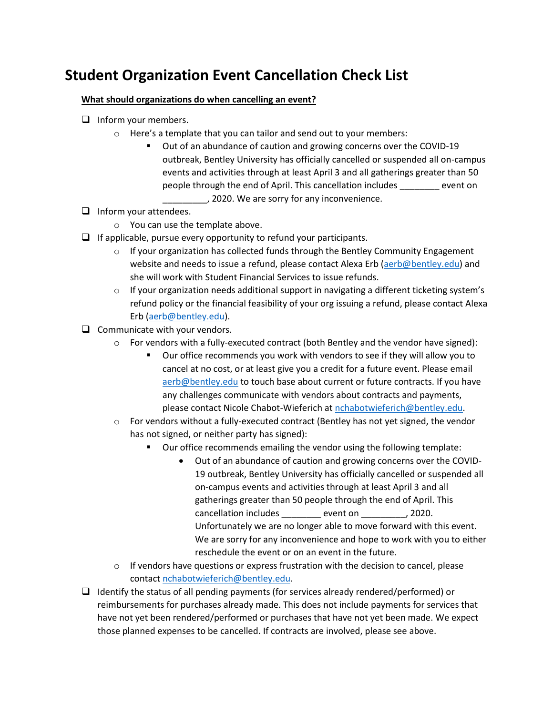## **Student Organization Event Cancellation Check List**

## **What should organizations do when cancelling an event?**

- $\Box$  Inform your members.
	- o Here's a template that you can tailor and send out to your members:
		- Out of an abundance of caution and growing concerns over the COVID-19 outbreak, Bentley University has officially cancelled or suspended all on-campus events and activities through at least April 3 and all gatherings greater than 50 people through the end of April. This cancellation includes \_\_\_\_\_\_\_\_ event on \_\_\_\_\_\_\_\_\_, 2020. We are sorry for any inconvenience.
- $\Box$  Inform your attendees.
	- o You can use the template above.
- $\Box$  If applicable, pursue every opportunity to refund your participants.
	- $\circ$  If your organization has collected funds through the Bentley Community Engagement website and needs to issue a refund, please contact Alexa Erb [\(aerb@bentley.edu\)](mailto:aerb@bentley.edu) and she will work with Student Financial Services to issue refunds.
	- $\circ$  If your organization needs additional support in navigating a different ticketing system's refund policy or the financial feasibility of your org issuing a refund, please contact Alexa Erb [\(aerb@bentley.edu\)](mailto:aerb@bentley.edu).
- $\Box$  Communicate with your vendors.
	- $\circ$  For vendors with a fully-executed contract (both Bentley and the vendor have signed):
		- Our office recommends you work with vendors to see if they will allow you to cancel at no cost, or at least give you a credit for a future event. Please email [aerb@bentley.edu](mailto:aerb@bentley.edu) to touch base about current or future contracts. If you have any challenges communicate with vendors about contracts and payments, please contact Nicole Chabot-Wieferich a[t nchabotwieferich@bentley.edu.](mailto:nchabotwieferich@bentley.edu)
	- $\circ$  For vendors without a fully-executed contract (Bentley has not yet signed, the vendor has not signed, or neither party has signed):
		- Our office recommends emailing the vendor using the following template:
			- Out of an abundance of caution and growing concerns over the COVID-19 outbreak, Bentley University has officially cancelled or suspended all on-campus events and activities through at least April 3 and all gatherings greater than 50 people through the end of April. This cancellation includes event on the cancellation includes event on the second section of  $(2020.$ Unfortunately we are no longer able to move forward with this event. We are sorry for any inconvenience and hope to work with you to either reschedule the event or on an event in the future.
	- $\circ$  If vendors have questions or express frustration with the decision to cancel, please contact [nchabotwieferich@bentley.edu.](mailto:nchabotwieferich@bentley.edu)
- $\Box$  Identify the status of all pending payments (for services already rendered/performed) or reimbursements for purchases already made. This does not include payments for services that have not yet been rendered/performed or purchases that have not yet been made. We expect those planned expenses to be cancelled. If contracts are involved, please see above.